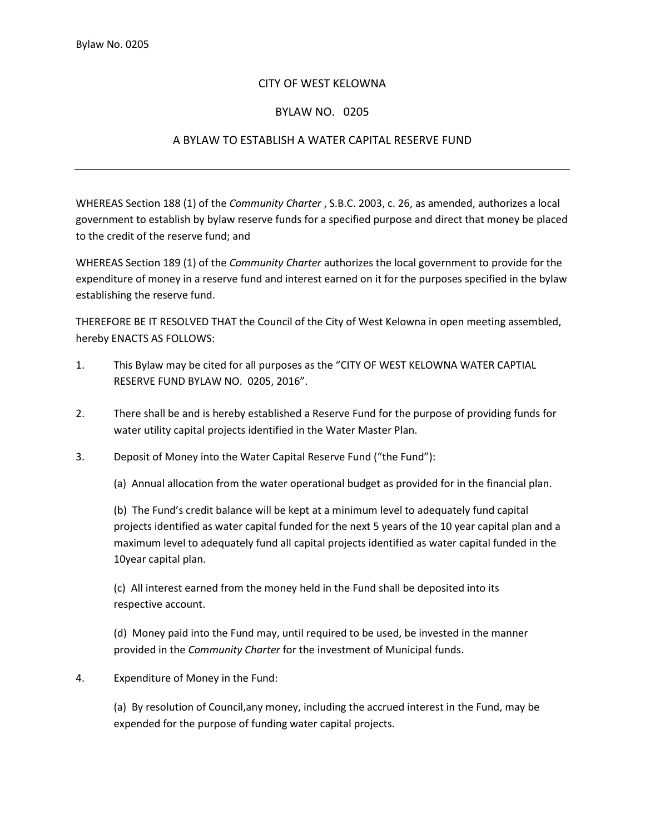## CITY OF WEST KELOWNA

## BYLAW NO. 0205

## A BYLAW TO ESTABLISH A WATER CAPITAL RESERVE FUND

WHEREAS Section 188 (1) of the *Community Charter* , S.B.C. 2003, c. 26, as amended, authorizes a local government to establish by bylaw reserve funds for a specified purpose and direct that money be placed to the credit of the reserve fund; and

WHEREAS Section 189 (1) of the *Community Charter* authorizes the local government to provide for the expenditure of money in a reserve fund and interest earned on it for the purposes specified in the bylaw establishing the reserve fund.

THEREFORE BE IT RESOLVED THAT the Council of the City of West Kelowna in open meeting assembled, hereby ENACTS AS FOLLOWS:

- 1. This Bylaw may be cited for all purposes as the "CITY OF WEST KELOWNA WATER CAPTIAL RESERVE FUND BYLAW NO. 0205, 2016".
- 2. There shall be and is hereby established a Reserve Fund for the purpose of providing funds for water utility capital projects identified in the Water Master Plan.
- 3. Deposit of Money into the Water Capital Reserve Fund ("the Fund"):

(a) Annual allocation from the water operational budget as provided for in the financial plan.

(b) The Fund's credit balance will be kept at a minimum level to adequately fund capital projects identified as water capital funded for the next 5 years of the 10 year capital plan and a maximum level to adequately fund all capital projects identified as water capital funded in the 10year capital plan.

(c) All interest earned from the money held in the Fund shall be deposited into its respective account.

(d) Money paid into the Fund may, until required to be used, be invested in the manner provided in the *Community Charter* for the investment of Municipal funds.

4. Expenditure of Money in the Fund:

(a) By resolution of Council,any money, including the accrued interest in the Fund, may be expended for the purpose of funding water capital projects.